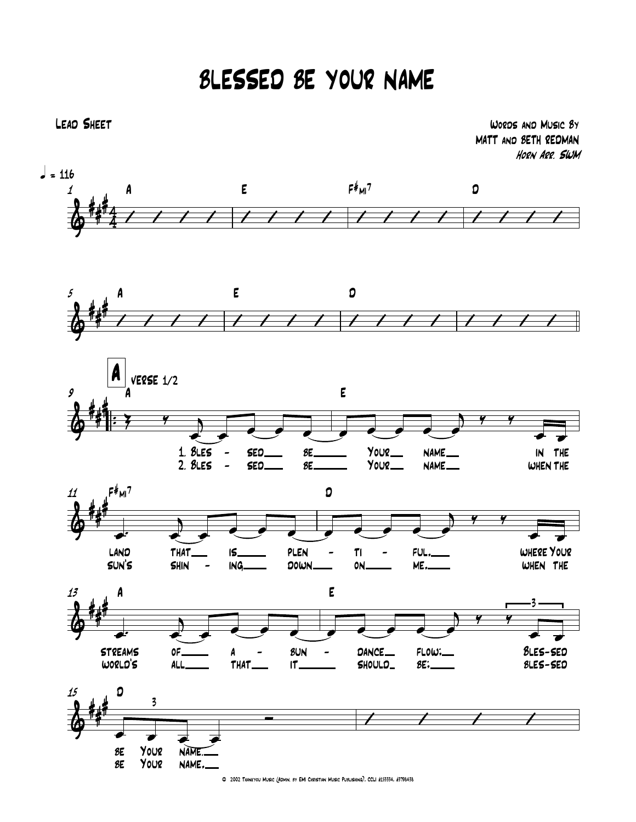## BLESSED BE YOUR NAME



Lead Sheet Words and Music By MATT and BETH REDMAN Horn Arr. SWM



© 2002 Thankyou Music (Admin. by EMI Christian Music Publishing), CCLI #153334, #3798438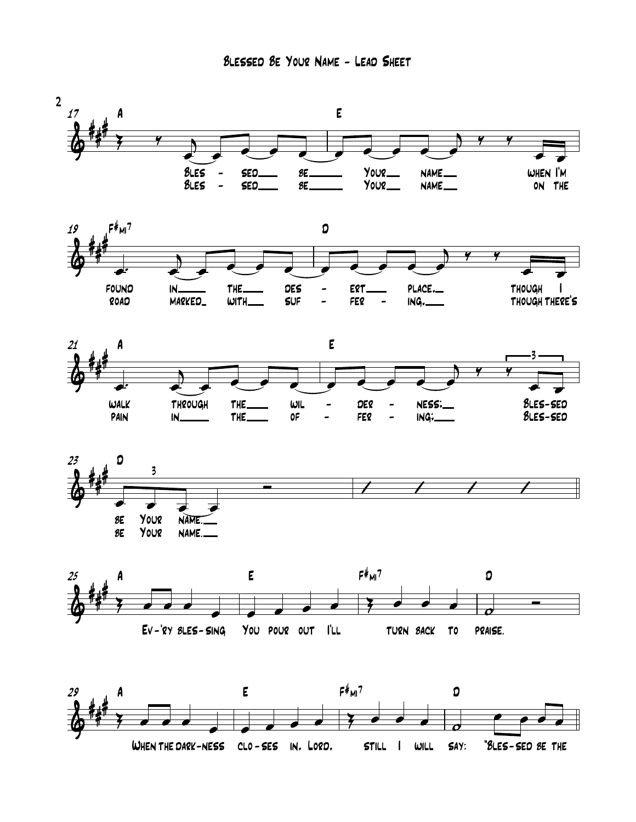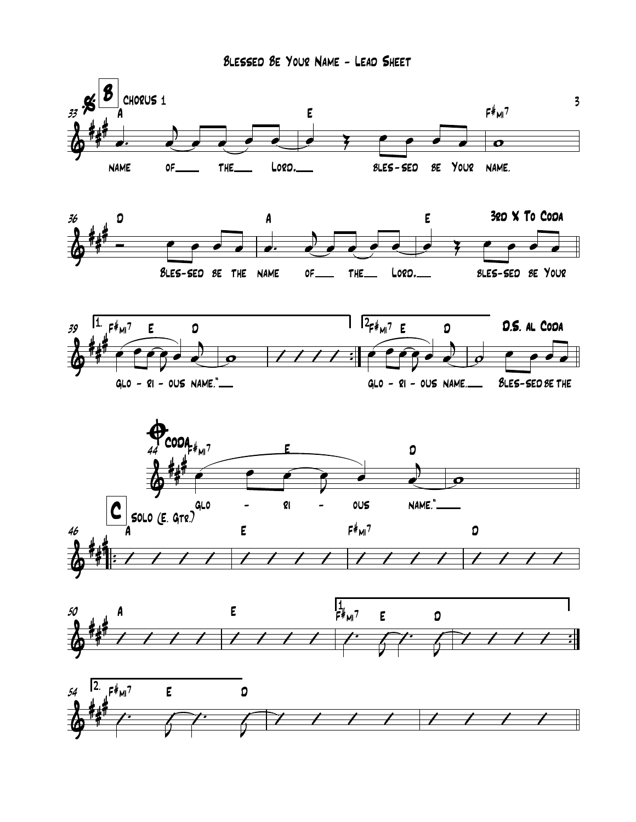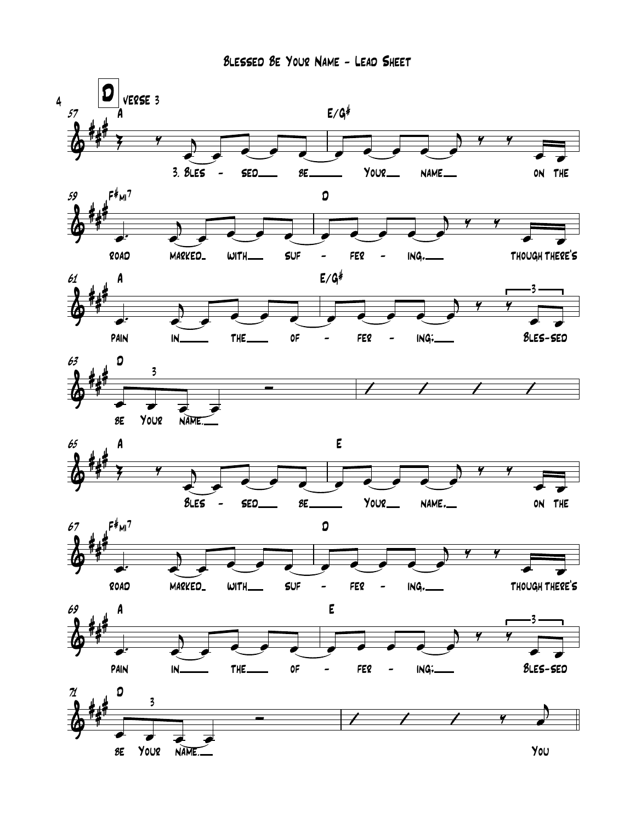